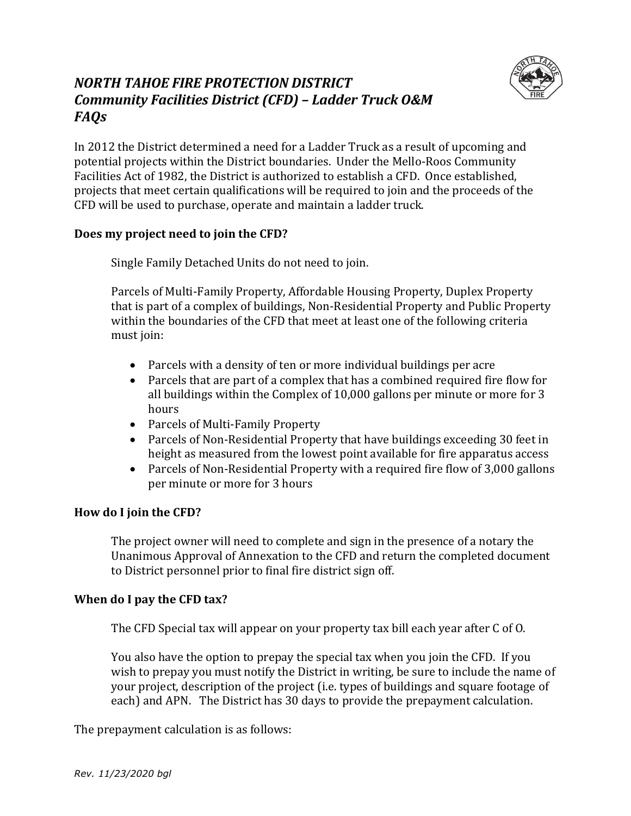



In 2012 the District determined a need for a Ladder Truck as a result of upcoming and potential projects within the District boundaries. Under the Mello-Roos Community Facilities Act of 1982, the District is authorized to establish a CFD. Once established, projects that meet certain qualifications will be required to join and the proceeds of the CFD will be used to purchase, operate and maintain a ladder truck.

## **Does my project need to join the CFD?**

Single Family Detached Units do not need to join.

Parcels of Multi-Family Property, Affordable Housing Property, Duplex Property that is part of a complex of buildings, Non-Residential Property and Public Property within the boundaries of the CFD that meet at least one of the following criteria must join:

- Parcels with a density of ten or more individual buildings per acre
- Parcels that are part of a complex that has a combined required fire flow for all buildings within the Complex of 10,000 gallons per minute or more for 3 hours
- Parcels of Multi-Family Property
- Parcels of Non-Residential Property that have buildings exceeding 30 feet in height as measured from the lowest point available for fire apparatus access
- Parcels of Non-Residential Property with a required fire flow of 3,000 gallons per minute or more for 3 hours

## **How do I join the CFD?**

The project owner will need to complete and sign in the presence of a notary the Unanimous Approval of Annexation to the CFD and return the completed document to District personnel prior to final fire district sign off.

## **When do I pay the CFD tax?**

The CFD Special tax will appear on your property tax bill each year after C of O.

You also have the option to prepay the special tax when you join the CFD. If you wish to prepay you must notify the District in writing, be sure to include the name of your project, description of the project (i.e. types of buildings and square footage of each) and APN. The District has 30 days to provide the prepayment calculation.

The prepayment calculation is as follows: